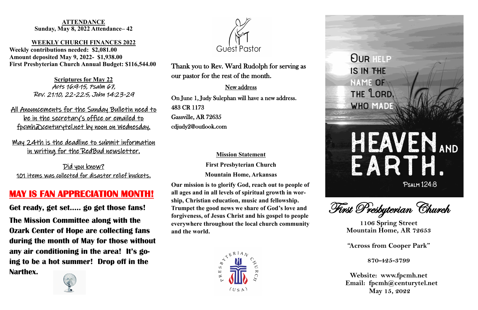#### laboris nisi ut aliquip ex ea commodo consequat. Duis aute irure **MAY IS FAN APPRECIATION MONTH!**

#### Sunday, May 8, 2022 Attendance-42 **ATTENDANCE**

#### eius modificialismo tempor dolore et dolore magna aliqua. Ut la borche magna aliqua. Ut la borche magna aliqua. U **WEEKLY CHURCH FINANCES 2022**

Weekly contributions needed: \$2,081.00 dolor in reprehenderit in voluptate velit esse cillum dolore eu **Amount deposited May 9, 2022- \$1,938.00** fugiat nulla pariatur. **First Presbyterian Church Annual Budget: \$116,544.00**

Rev. 21:10, 22-22:5, John 14:23-29 **Scriptures for May 22** Acts 16:9-15, Psalm 67,

 $\mathcal{L}$  and dolor situation of the dolor situation of the dolor situation of the dolor situation of the dolor situation of the dolor situation of the dolor situation of the dolor situation of the dolor situation of the d <u>All Anouncements for the Sunday Bulletin need to</u> enim added not provent alling un que <u>be in the secretary's office or emailed to</u> cmha centurytel.net by noon on Wedv <u>fpcmh@centurytel.net by noon on Wednesday.</u>

May 24th is the deadline to submit information in writing for the RedBud newsletter.

<u>Did you know?</u> <u>101 items was collected for disaster relief buckets.</u>

 $\mathbf{n}$ ø the month during the month of May for those without air conditioning in the area! It's enim ad minim veniam, quis nostrud exercitation ullamco to be a hot summer! Dron off in dolor in reprehenderit in voluptate velit esse cillum dolore eu fugiat nulla particle particle particle particle particle particle particle street  $\frac{3}{2}$ **The Mission Committee along with the Ozark Center of Hope are collecting fans any air conditioning in the area! It's going to be a hot summer! Drop off in the Narthex.**





**Get ready, get set….. go get those fans!**

First Presbyterian Church

# **OUR HELP** IS IN THE NAME OF THE LORD. WHO MAD



**1106 Spring Street Mountain Home, AR 72653**

**"Across from Cooper Park"**

**870-425-3799**

**Website: www.fpcmh.net Email: fpcmh@centurytel.net May 15, 2022**

Thank you to Rev. Ward Rudolph for serving as our pastor for the rest of the month.

### New address

On June 1, Judy Sulephan will have a new address. 483 CR 1173 Gassville, AR 72635 cdjudy2@outlook.com

## **Mission Statement**

**First Presbyterian Church Mountain Home, Arkansas**

**Our mission is to glorify God, reach out to people of all ages and in all levels of spiritual growth in worship, Christian education, music and fellowship. Trumpet the good news we share of God's love and forgiveness, of Jesus Christ and his gospel to people everywhere throughout the local church community and the world.**